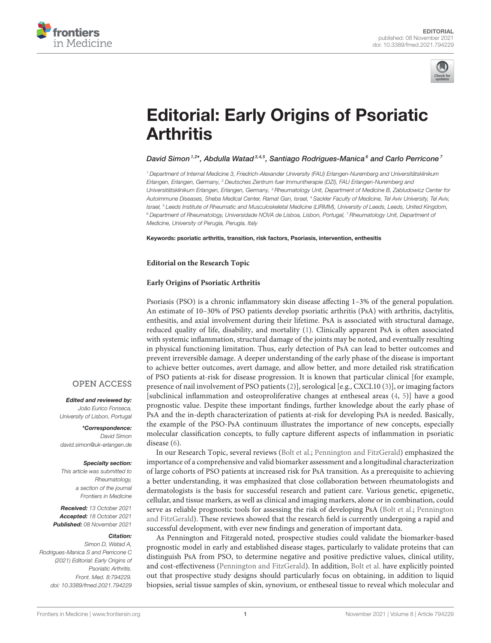



# [Editorial: Early Origins of Psoriatic](https://www.frontiersin.org/articles/10.3389/fmed.2021.794229/full) **Arthritis**

## David Simon<sup>1,2\*</sup>, Abdulla Watad<sup>3,4,5</sup>, Santiago Rodrigues-Manica<sup>6</sup> and Carlo Perricone<sup>7</sup>

<sup>1</sup> Department of Internal Medicine 3, Friedrich-Alexander University (FAU) Erlangen-Nuremberg and Universitätsklinikum Erlangen, Erlangen, Germany, <sup>2</sup> Deutsches Zentrum fuer Immuntherapie (DZI), FAU Erlangen-Nuremberg and Universitätsklinikum Erlangen, Erlangen, Germany, <sup>3</sup> Rheumatology Unit, Department of Medicine B, Zabludowicz Center for Autoimmune Diseases, Sheba Medical Center, Ramat Gan, Israel, <sup>4</sup> Sackler Faculty of Medicine, Tel Aviv University, Tel Aviv, Israel, <sup>5</sup> Leeds Institute of Rheumatic and Musculoskeletal Medicine (LIRMM), University of Leeds, Leeds, United Kingdom, <sup>6</sup> Department of Rheumatology, Universidade NOVA de Lisboa, Lisbon, Portugal, <sup>7</sup> Rheumatology Unit, Department of Medicine, University of Perugia, Perugia, Italy

#### Keywords: psoriatic arthritis, transition, risk factors, Psoriasis, intervention, enthesitis

### **Editorial on the Research Topic**

## **[Early Origins of Psoriatic Arthritis](https://www.frontiersin.org/research-topics/15984/early-origins-of-psoriatic-arthritis)**

Psoriasis (PSO) is a chronic inflammatory skin disease affecting 1–3% of the general population. An estimate of 10–30% of PSO patients develop psoriatic arthritis (PsA) with arthritis, dactylitis, enthesitis, and axial involvement during their lifetime. PsA is associated with structural damage, reduced quality of life, disability, and mortality [\(1\)](#page-1-0). Clinically apparent PsA is often associated with systemic inflammation, structural damage of the joints may be noted, and eventually resulting in physical functioning limitation. Thus, early detection of PsA can lead to better outcomes and prevent irreversible damage. A deeper understanding of the early phase of the disease is important to achieve better outcomes, avert damage, and allow better, and more detailed risk stratification of PSO patients at-risk for disease progression. It is known that particular clinical [for example, presence of nail involvement of PSO patients [\(2\)](#page-1-1)], serological [e.g., CXCL10 [\(3\)](#page-1-2)], or imaging factors [subclinical inflammation and osteoproliferative changes at entheseal areas [\(4,](#page-1-3) [5\)](#page-1-4)] have a good prognostic value. Despite these important findings, further knowledge about the early phase of PsA and the in-depth characterization of patients at-risk for developing PsA is needed. Basically, the example of the PSO-PsA continuum illustrates the importance of new concepts, especially molecular classification concepts, to fully capture different aspects of inflammation in psoriatic disease [\(6\)](#page-1-5).

## **OPEN ACCESS**

## Edited and reviewed by:

João Eurico Fonseca, University of Lisbon, Portugal

\*Correspondence: David Simon [david.simon@uk-erlangen.de](mailto:david.simon@uk-erlangen.de)

#### Specialty section:

This article was submitted to Rheumatology, a section of the journal Frontiers in Medicine

Received: 13 October 2021 Accepted: 18 October 2021 Published: 08 November 2021

#### Citation:

Simon D, Watad A, Rodrigues-Manica S and Perricone C (2021) Editorial: Early Origins of Psoriatic Arthritis. Front. Med. 8:794229. doi: [10.3389/fmed.2021.794229](https://doi.org/10.3389/fmed.2021.794229)

In our Research Topic, several reviews [\(Bolt et al.;](https://doi.org/10.3389/fmed.2021.711823) [Pennington and FitzGerald\)](https://doi.org/10.3389/fmed.2021.723944) emphasized the importance of a comprehensive and valid biomarker assessment and a longitudinal characterization of large cohorts of PSO patients at increased risk for PsA transition. As a prerequisite to achieving a better understanding, it was emphasized that close collaboration between rheumatologists and dermatologists is the basis for successful research and patient care. Various genetic, epigenetic, cellular, and tissue markers, as well as clinical and imaging markers, alone or in combination, could serve as reliable prognostic tools for assessing the risk of developing PsA [\(Bolt et al.;](https://doi.org/10.3389/fmed.2021.711823) Pennington [and FitzGerald\). These reviews showed that the research field is currently undergoing a rapid and](https://doi.org/10.3389/fmed.2021.723944) successful development, with ever new findings and generation of important data.

As Pennington and Fitzgerald noted, prospective studies could validate the biomarker-based prognostic model in early and established disease stages, particularly to validate proteins that can distinguish PsA from PSO, to determine negative and positive predictive values, clinical utility, and cost-effectiveness [\(Pennington and FitzGerald\)](https://doi.org/10.3389/fmed.2021.723944). In addition, [Bolt et al.](https://doi.org/10.3389/fmed.2021.711823) have explicitly pointed out that prospective study designs should particularly focus on obtaining, in addition to liquid biopsies, serial tissue samples of skin, synovium, or entheseal tissue to reveal which molecular and